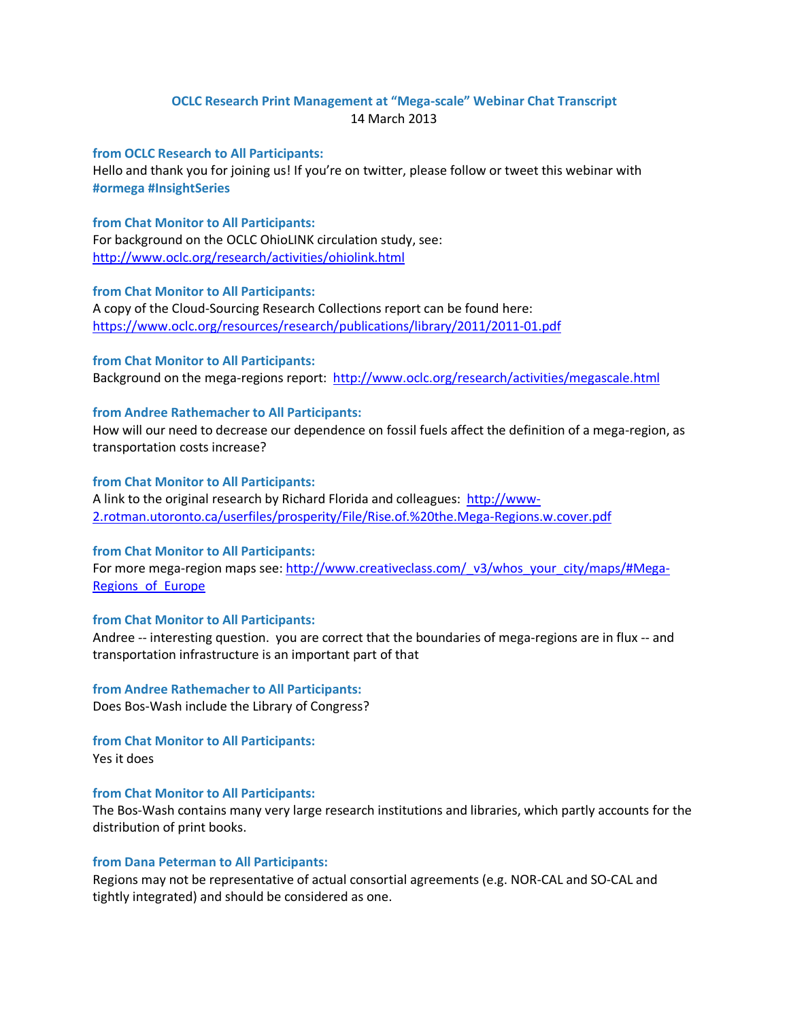# **OCLC Research Print Management at "Mega-scale" Webinar Chat Transcript** 14 March 2013

## **from OCLC Research to All Participants:**

Hello and thank you for joining us! If you're on twitter, please follow or tweet this webinar with **#ormega #InsightSeries**

## **from Chat Monitor to All Participants:**

For background on the OCLC OhioLINK circulation study, see: <http://www.oclc.org/research/activities/ohiolink.html>

#### **from Chat Monitor to All Participants:**

A copy of the Cloud-Sourcing Research Collections report can be found here: <https://www.oclc.org/resources/research/publications/library/2011/2011-01.pdf>

## **from Chat Monitor to All Participants:**

Background on the mega-regions report: <http://www.oclc.org/research/activities/megascale.html>

## **from Andree Rathemacher to All Participants:**

How will our need to decrease our dependence on fossil fuels affect the definition of a mega-region, as transportation costs increase?

#### **from Chat Monitor to All Participants:**

A link to the original research by Richard Florida and colleagues: [http://www-](http://www-2.rotman.utoronto.ca/userfiles/prosperity/File/Rise.of.%20the.Mega-Regions.w.cover.pdf)[2.rotman.utoronto.ca/userfiles/prosperity/File/Rise.of.%20the.Mega-Regions.w.cover.pdf](http://www-2.rotman.utoronto.ca/userfiles/prosperity/File/Rise.of.%20the.Mega-Regions.w.cover.pdf)

## **from Chat Monitor to All Participants:**

For more mega-region maps see: [http://www.creativeclass.com/\\_v3/whos\\_your\\_city/maps/#Mega-](http://www.creativeclass.com/_v3/whos_your_city/maps/#Mega-Regions_of_Europe)[Regions\\_of\\_Europe](http://www.creativeclass.com/_v3/whos_your_city/maps/#Mega-Regions_of_Europe)

## **from Chat Monitor to All Participants:**

Andree -- interesting question. you are correct that the boundaries of mega-regions are in flux -- and transportation infrastructure is an important part of that

**from Andree Rathemacher to All Participants:** Does Bos-Wash include the Library of Congress?

**from Chat Monitor to All Participants:**

Yes it does

## **from Chat Monitor to All Participants:**

The Bos-Wash contains many very large research institutions and libraries, which partly accounts for the distribution of print books.

#### **from Dana Peterman to All Participants:**

Regions may not be representative of actual consortial agreements (e.g. NOR-CAL and SO-CAL and tightly integrated) and should be considered as one.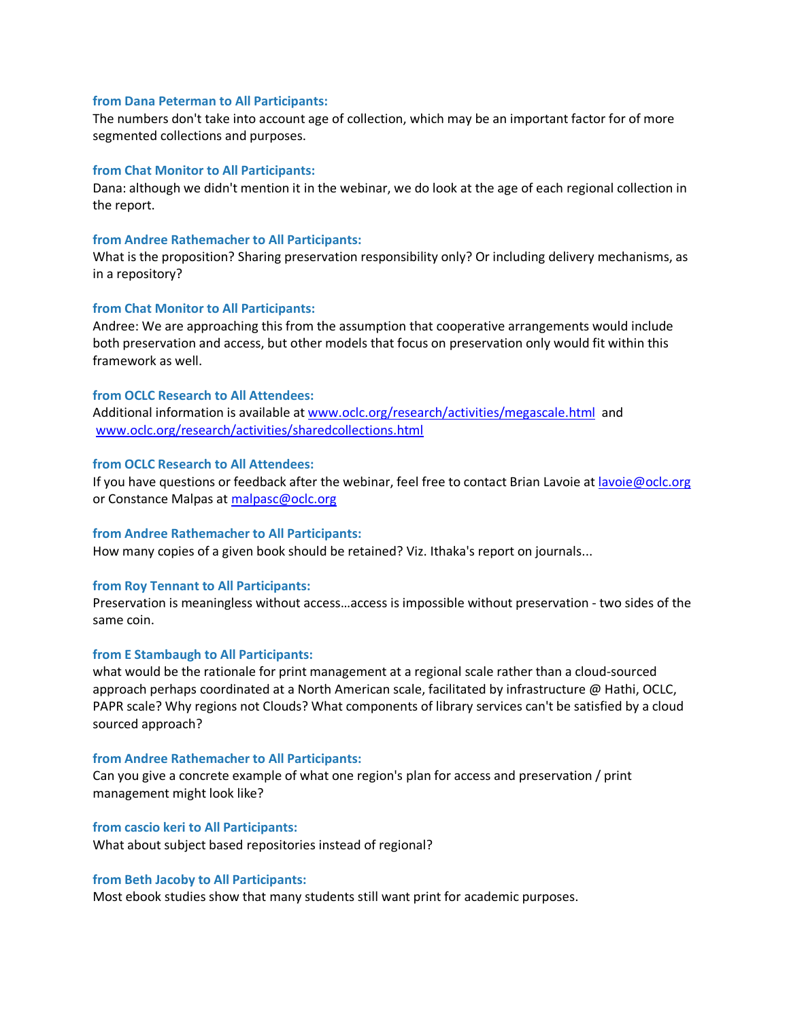#### **from Dana Peterman to All Participants:**

The numbers don't take into account age of collection, which may be an important factor for of more segmented collections and purposes.

## **from Chat Monitor to All Participants:**

Dana: although we didn't mention it in the webinar, we do look at the age of each regional collection in the report.

#### **from Andree Rathemacher to All Participants:**

What is the proposition? Sharing preservation responsibility only? Or including delivery mechanisms, as in a repository?

## **from Chat Monitor to All Participants:**

Andree: We are approaching this from the assumption that cooperative arrangements would include both preservation and access, but other models that focus on preservation only would fit within this framework as well.

### **from OCLC Research to All Attendees:**

Additional information is available at [www.oclc.org/research/activities/megascale.html](http://www.oclc.org/research/activities/megascale.html) and [www.oclc.org/research/activities/sharedcollections.html](http://www.oclc.org/research/activities/sharedcollections.html)

#### **from OCLC Research to All Attendees:**

If you have questions or feedback after the webinar, feel free to contact Brian Lavoie a[t lavoie@oclc.org](mailto:lavoie@oclc.org) or Constance Malpas at [malpasc@oclc.org](mailto:malpasc@oclc.org)

#### **from Andree Rathemacher to All Participants:**

How many copies of a given book should be retained? Viz. Ithaka's report on journals...

## **from Roy Tennant to All Participants:**

Preservation is meaningless without access…access is impossible without preservation - two sides of the same coin.

#### **from E Stambaugh to All Participants:**

what would be the rationale for print management at a regional scale rather than a cloud-sourced approach perhaps coordinated at a North American scale, facilitated by infrastructure @ Hathi, OCLC, PAPR scale? Why regions not Clouds? What components of library services can't be satisfied by a cloud sourced approach?

## **from Andree Rathemacher to All Participants:**

Can you give a concrete example of what one region's plan for access and preservation / print management might look like?

## **from cascio keri to All Participants:**

What about subject based repositories instead of regional?

## **from Beth Jacoby to All Participants:**

Most ebook studies show that many students still want print for academic purposes.